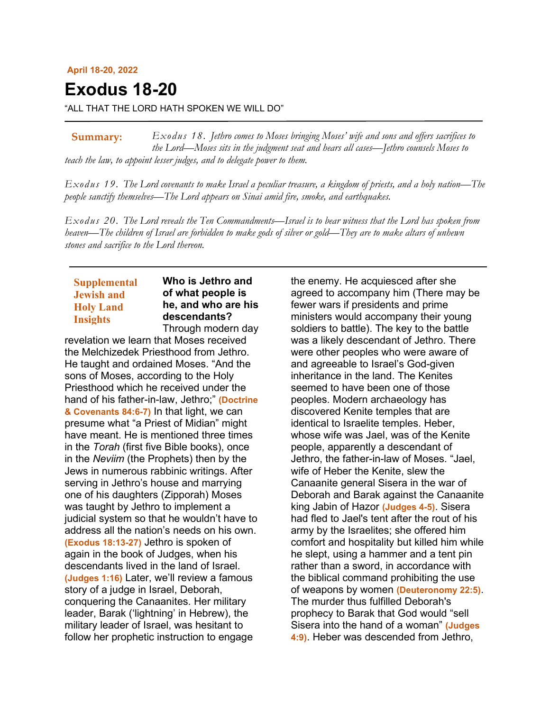#### **April 18-20, 2022**

# **Exodus 18-20**

"ALL THAT THE LORD HATH SPOKEN WE WILL DO"

*Exodus 18. Jethro comes to Moses bringing Moses' wife and sons and offers sacrifices to the Lord—Moses sits in the judgment seat and hears all cases—Jethro counsels Moses to teach the law, to appoint lesser judges, and to delegate power to them.* **Summary:**

*Exodus 19. The Lord covenants to make Israel a peculiar treasure, a kingdom of priests, and a holy nation—The people sanctify themselves—The Lord appears on Sinai amid fire, smoke, and earthquakes.*

*Exodus 20. The Lord reveals the Ten Commandments—Israel is to bear witness that the Lord has spoken from heaven—The children of Israel are forbidden to make gods of silver or gold—They are to make altars of unhewn stones and sacrifice to the Lord thereon.*

# **Supplemental Jewish and Holy Land Insights**

## **Who is Jethro and of what people is he, and who are his descendants?** Through modern day

revelation we learn that Moses received the Melchizedek Priesthood from Jethro. He taught and ordained Moses. "And the sons of Moses, according to the Holy Priesthood which he received under the hand of his father-in-law, Jethro;" **(Doctrine & Covenants 84:6-7)** In that light, we can presume what "a Priest of Midian" might have meant. He is mentioned three times in the *Torah* (first five Bible books), once in the *Neviim* (the Prophets) then by the Jews in numerous rabbinic writings. After serving in Jethro's house and marrying one of his daughters (Zipporah) Moses was taught by Jethro to implement a judicial system so that he wouldn't have to address all the nation's needs on his own. **(Exodus 18:13-27)** Jethro is spoken of again in the book of Judges, when his descendants lived in the land of Israel. **(Judges 1:16)** Later, we'll review a famous story of a judge in Israel, Deborah, conquering the Canaanites. Her military leader, Barak ('lightning' in Hebrew), the military leader of Israel, was hesitant to follow her prophetic instruction to engage

the enemy. He acquiesced after she agreed to accompany him (There may be fewer wars if presidents and prime ministers would accompany their young soldiers to battle). The key to the battle was a likely descendant of Jethro. There were other peoples who were aware of and agreeable to Israel's God-given inheritance in the land. The Kenites seemed to have been one of those peoples. Modern archaeology has discovered Kenite temples that are identical to Israelite temples. Heber, whose wife was Jael, was of the Kenite people, apparently a descendant of Jethro, the father-in-law of Moses. "Jael, wife of Heber the Kenite, slew the Canaanite general Sisera in the war of Deborah and Barak against the Canaanite king Jabin of Hazor **(Judges 4-5)**. Sisera had fled to Jael's tent after the rout of his army by the Israelites; she offered him comfort and hospitality but killed him while he slept, using a hammer and a tent pin rather than a sword, in accordance with the biblical command prohibiting the use of weapons by women **(Deuteronomy 22:5)**. The murder thus fulfilled Deborah's prophecy to Barak that God would "sell Sisera into the hand of a woman" **(Judges 4:9)**. Heber was descended from Jethro,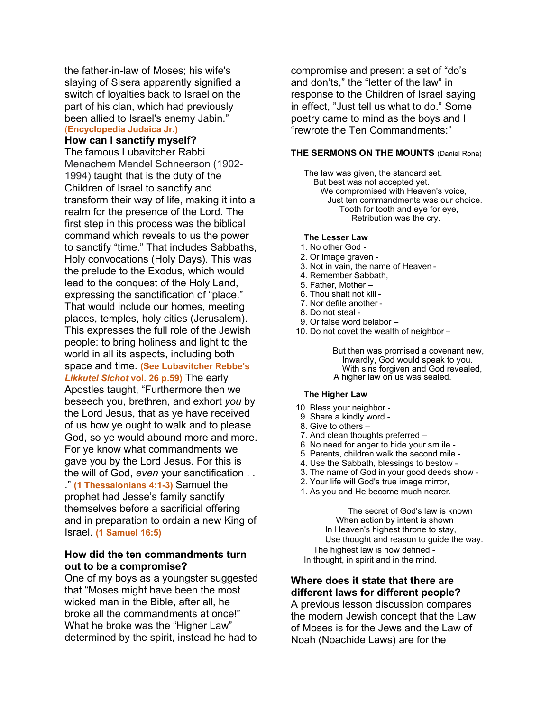the father-in-law of Moses; his wife's slaying of Sisera apparently signified a switch of loyalties back to Israel on the part of his clan, which had previously been allied to Israel's enemy Jabin." (**Encyclopedia Judaica Jr.)**

## **How can I sanctify myself?**

The famous Lubavitcher Rabbi Menachem Mendel Schneerson (1902- 1994) taught that is the duty of the Children of Israel to sanctify and transform their way of life, making it into a realm for the presence of the Lord. The first step in this process was the biblical command which reveals to us the power to sanctify "time." That includes Sabbaths, Holy convocations (Holy Days). This was the prelude to the Exodus, which would lead to the conquest of the Holy Land, expressing the sanctification of "place." That would include our homes, meeting places, temples, holy cities (Jerusalem). This expresses the full role of the Jewish people: to bring holiness and light to the world in all its aspects, including both space and time. **(See Lubavitcher Rebbe's**  *Likkutei Sichot* **vol. 26 p.59)** The early Apostles taught, "Furthermore then we beseech you, brethren, and exhort *you* by the Lord Jesus, that as ye have received of us how ye ought to walk and to please God, so ye would abound more and more. For ye know what commandments we gave you by the Lord Jesus. For this is the will of God, *even* your sanctification . . ." **(1 Thessalonians 4:1-3)** Samuel the prophet had Jesse's family sanctify themselves before a sacrificial offering and in preparation to ordain a new King of Israel. **(1 Samuel 16:5)**

## **How did the ten commandments turn out to be a compromise?**

One of my boys as a youngster suggested that "Moses might have been the most wicked man in the Bible, after all, he broke all the commandments at once!" What he broke was the "Higher Law" determined by the spirit, instead he had to

compromise and present a set of "do's and don'ts," the "letter of the law" in response to the Children of Israel saying in effect, "Just tell us what to do." Some poetry came to mind as the boys and I "rewrote the Ten Commandments:"

#### **THE SERMONS ON THE MOUNTS** (Daniel Rona)

The law was given, the standard set. But best was not accepted yet. We compromised with Heaven's voice, Just ten commandments was our choice. Tooth for tooth and eye for eye, Retribution was the cry.

#### **The Lesser Law**

- 1. No other God -
- 2. Or image graven -
- 3. Not in vain, the name of Heaven -
- 4. Remember Sabbath,
- 5. Father, Mother –
- 6. Thou shalt not kill -
- 7. Nor defile another -
- 8. Do not steal -
- 9. Or false word belabor –
- 10. Do not covet the wealth of neighbor –

 But then was promised a covenant new, Inwardly, God would speak to you. With sins forgiven and God revealed, A higher law on us was sealed.

#### **The Higher Law**

- 10. Bless your neighbor -
- 9. Share a kindly word -
- 8. Give to others –
- 7. And clean thoughts preferred –
- 6. No need for anger to hide your sm.ile -
- 5. Parents, children walk the second mile -
- 4. Use the Sabbath, blessings to bestow -
- 3. The name of God in your good deeds show -
- 2. Your life will God's true image mirror,
- 1. As you and He become much nearer.

 The secret of God's law is known When action by intent is shown In Heaven's highest throne to stay, Use thought and reason to guide the way. The highest law is now defined - In thought, in spirit and in the mind.

## **Where does it state that there are different laws for different people?**

A previous lesson discussion compares the modern Jewish concept that the Law of Moses is for the Jews and the Law of Noah (Noachide Laws) are for the